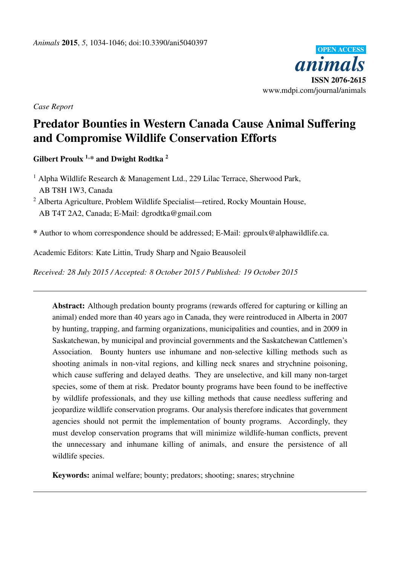

*Case Report*

# Predator Bounties in Western Canada Cause Animal Suffering and Compromise Wildlife Conservation Efforts

Gilbert Proulx<sup>1,\*</sup> and Dwight Rodtka<sup>2</sup>

<sup>1</sup> Alpha Wildlife Research & Management Ltd., 229 Lilac Terrace, Sherwood Park, AB T8H 1W3, Canada

<sup>2</sup> Alberta Agriculture, Problem Wildlife Specialist—retired, Rocky Mountain House, AB T4T 2A2, Canada; E-Mail: dgrodtka@gmail.com

\* Author to whom correspondence should be addressed; E-Mail: gproulx@alphawildlife.ca.

Academic Editors: Kate Littin, Trudy Sharp and Ngaio Beausoleil

*Received: 28 July 2015 / Accepted: 8 October 2015 / Published: 19 October 2015*

Abstract: Although predation bounty programs (rewards offered for capturing or killing an animal) ended more than 40 years ago in Canada, they were reintroduced in Alberta in 2007 by hunting, trapping, and farming organizations, municipalities and counties, and in 2009 in Saskatchewan, by municipal and provincial governments and the Saskatchewan Cattlemen's Association. Bounty hunters use inhumane and non-selective killing methods such as shooting animals in non-vital regions, and killing neck snares and strychnine poisoning, which cause suffering and delayed deaths. They are unselective, and kill many non-target species, some of them at risk. Predator bounty programs have been found to be ineffective by wildlife professionals, and they use killing methods that cause needless suffering and jeopardize wildlife conservation programs. Our analysis therefore indicates that government agencies should not permit the implementation of bounty programs. Accordingly, they must develop conservation programs that will minimize wildlife-human conflicts, prevent the unnecessary and inhumane killing of animals, and ensure the persistence of all wildlife species.

Keywords: animal welfare; bounty; predators; shooting; snares; strychnine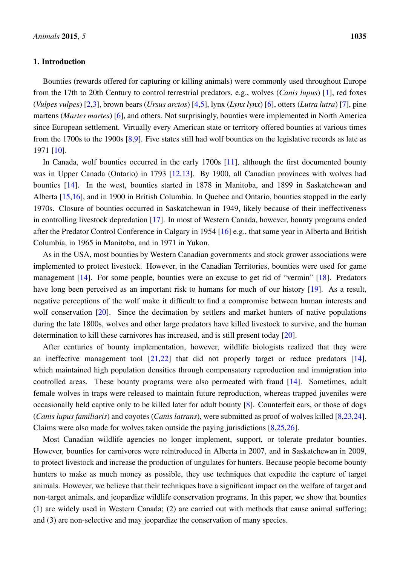# 1. Introduction

Bounties (rewards offered for capturing or killing animals) were commonly used throughout Europe from the 17th to 20th Century to control terrestrial predators, e.g., wolves (*Canis lupus*) [\[1\]](#page-7-0), red foxes (*Vulpes vulpes*) [\[2,](#page-8-0)[3\]](#page-8-1), brown bears (*Ursus arctos*) [\[4](#page-8-2)[,5\]](#page-8-3), lynx (*Lynx lynx*) [\[6\]](#page-8-4), otters (*Lutra lutra*) [\[7\]](#page-8-5), pine martens (*Martes martes*) [\[6\]](#page-8-4), and others. Not surprisingly, bounties were implemented in North America since European settlement. Virtually every American state or territory offered bounties at various times from the 1700s to the 1900s [\[8,](#page-8-6)[9\]](#page-8-7). Five states still had wolf bounties on the legislative records as late as 1971 [\[10\]](#page-8-8).

In Canada, wolf bounties occurred in the early 1700s [\[11\]](#page-8-9), although the first documented bounty was in Upper Canada (Ontario) in 1793 [\[12,](#page-8-10)[13\]](#page-8-11). By 1900, all Canadian provinces with wolves had bounties [\[14\]](#page-8-12). In the west, bounties started in 1878 in Manitoba, and 1899 in Saskatchewan and Alberta [\[15,](#page-8-13)[16\]](#page-8-14), and in 1900 in British Columbia. In Quebec and Ontario, bounties stopped in the early 1970s. Closure of bounties occurred in Saskatchewan in 1949, likely because of their ineffectiveness in controlling livestock depredation [\[17\]](#page-8-15). In most of Western Canada, however, bounty programs ended after the Predator Control Conference in Calgary in 1954 [\[16\]](#page-8-14) e.g., that same year in Alberta and British Columbia, in 1965 in Manitoba, and in 1971 in Yukon.

As in the USA, most bounties by Western Canadian governments and stock grower associations were implemented to protect livestock. However, in the Canadian Territories, bounties were used for game management [\[14\]](#page-8-12). For some people, bounties were an excuse to get rid of "vermin" [\[18\]](#page-8-16). Predators have long been perceived as an important risk to humans for much of our history [\[19\]](#page-8-17). As a result, negative perceptions of the wolf make it difficult to find a compromise between human interests and wolf conservation [\[20\]](#page-8-18). Since the decimation by settlers and market hunters of native populations during the late 1800s, wolves and other large predators have killed livestock to survive, and the human determination to kill these carnivores has increased, and is still present today [\[20\]](#page-8-18).

After centuries of bounty implementation, however, wildlife biologists realized that they were an ineffective management tool  $[21,22]$  $[21,22]$  that did not properly target or reduce predators  $[14]$ , which maintained high population densities through compensatory reproduction and immigration into controlled areas. These bounty programs were also permeated with fraud [\[14\]](#page-8-12). Sometimes, adult female wolves in traps were released to maintain future reproduction, whereas trapped juveniles were occasionally held captive only to be killed later for adult bounty [\[8\]](#page-8-6). Counterfeit ears, or those of dogs (*Canis lupus familiaris*) and coyotes (*Canis latrans*), were submitted as proof of wolves killed [\[8,](#page-8-6)[23,](#page-9-1)[24\]](#page-9-2). Claims were also made for wolves taken outside the paying jurisdictions [\[8,](#page-8-6)[25,](#page-9-3)[26\]](#page-9-4).

Most Canadian wildlife agencies no longer implement, support, or tolerate predator bounties. However, bounties for carnivores were reintroduced in Alberta in 2007, and in Saskatchewan in 2009, to protect livestock and increase the production of ungulates for hunters. Because people become bounty hunters to make as much money as possible, they use techniques that expedite the capture of target animals. However, we believe that their techniques have a significant impact on the welfare of target and non-target animals, and jeopardize wildlife conservation programs. In this paper, we show that bounties (1) are widely used in Western Canada; (2) are carried out with methods that cause animal suffering; and (3) are non-selective and may jeopardize the conservation of many species.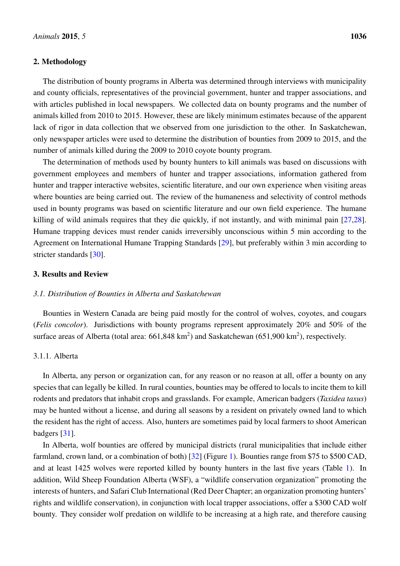#### 2. Methodology

The distribution of bounty programs in Alberta was determined through interviews with municipality and county officials, representatives of the provincial government, hunter and trapper associations, and with articles published in local newspapers. We collected data on bounty programs and the number of animals killed from 2010 to 2015. However, these are likely minimum estimates because of the apparent lack of rigor in data collection that we observed from one jurisdiction to the other. In Saskatchewan, only newspaper articles were used to determine the distribution of bounties from 2009 to 2015, and the number of animals killed during the 2009 to 2010 coyote bounty program.

The determination of methods used by bounty hunters to kill animals was based on discussions with government employees and members of hunter and trapper associations, information gathered from hunter and trapper interactive websites, scientific literature, and our own experience when visiting areas where bounties are being carried out. The review of the humaneness and selectivity of control methods used in bounty programs was based on scientific literature and our own field experience. The humane killing of wild animals requires that they die quickly, if not instantly, and with minimal pain [\[27,](#page-9-5)[28\]](#page-9-6). Humane trapping devices must render canids irreversibly unconscious within 5 min according to the Agreement on International Humane Trapping Standards [\[29\]](#page-9-7), but preferably within 3 min according to stricter standards [\[30\]](#page-9-8).

# 3. Results and Review

#### *3.1. Distribution of Bounties in Alberta and Saskatchewan*

Bounties in Western Canada are being paid mostly for the control of wolves, coyotes, and cougars (*Felis concolor*). Jurisdictions with bounty programs represent approximately 20% and 50% of the surface areas of Alberta (total area:  $661,848 \text{ km}^2$ ) and Saskatchewan ( $651,900 \text{ km}^2$ ), respectively.

# 3.1.1. Alberta

In Alberta, any person or organization can, for any reason or no reason at all, offer a bounty on any species that can legally be killed. In rural counties, bounties may be offered to locals to incite them to kill rodents and predators that inhabit crops and grasslands. For example, American badgers (*Taxidea taxus*) may be hunted without a license, and during all seasons by a resident on privately owned land to which the resident has the right of access. Also, hunters are sometimes paid by local farmers to shoot American badgers [\[31\]](#page-9-9).

In Alberta, wolf bounties are offered by municipal districts (rural municipalities that include either farmland, crown land, or a combination of both) [\[32\]](#page-9-10) (Figure [1\)](#page-3-0). Bounties range from \$75 to \$500 CAD, and at least 1425 wolves were reported killed by bounty hunters in the last five years (Table [1\)](#page-3-1). In addition, Wild Sheep Foundation Alberta (WSF), a "wildlife conservation organization" promoting the interests of hunters, and Safari Club International (Red Deer Chapter; an organization promoting hunters' rights and wildlife conservation), in conjunction with local trapper associations, offer a \$300 CAD wolf bounty. They consider wolf predation on wildlife to be increasing at a high rate, and therefore causing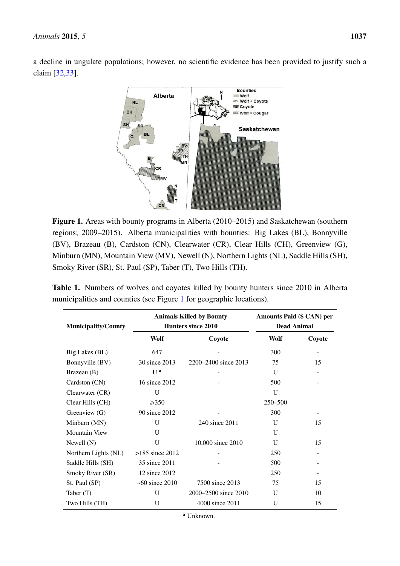<span id="page-3-0"></span>a decline in ungulate populations; however, no scientific evidence has been provided to justify such a claim [\[32](#page-9-10)[,33\]](#page-9-11). decline in ungulate populations; however, no scientific evidence has been provided to justify such a claim  $\mathcal{S}$ 



**Figure 1.** Areas with bounty programs in Alberta (2010–2015) and Saskatchewan (southern Figure 1. Areas with bounty programs in Alberta (2010–2015) and Saskatchewan (southern regions; 2009–2015). Alberta municipalities with bounties: Big Lakes (BL), Bonnyville  $\mathbf{E}$ , Cardston (CN), Cardston (CR), Clearwater (CR), Greenview (G), Greenview (G), Greenview (G), Greenview (G), Greenview (G), Greenview (G), Greenview (G), Greenview (G), Greenview (G), Greenview (G), Greenview (G), (BV), Brazeau (B), Cardston (CN), Clearwater (CR), Clear Hills (CH), Greenview (G), Minburn (MN), Mountain View (MV), Newell (N), Northern Lights (NL), Saddle Hills (SH), Smoky River (SR), St. Paul (SP), Taber (T), Two Hills (TH).

<span id="page-3-1"></span>

|  | <b>Table 1.</b> Numbers of wolves and coyotes killed by bounty hunters since 2010 in Alberta |  |  |  |  |  |
|--|----------------------------------------------------------------------------------------------|--|--|--|--|--|
|  | municipalities and counties (see Figure 1 for geographic locations).                         |  |  |  |  |  |

| <b>Municipality/County</b> |                        | <b>Animals Killed by Bounty</b><br>Hunters since 2010 | Amounts Paid (\$ CAN) per<br><b>Dead Animal</b> |        |  |  |
|----------------------------|------------------------|-------------------------------------------------------|-------------------------------------------------|--------|--|--|
|                            | Wolf                   | Coyote                                                | Wolf                                            | Coyote |  |  |
| Big Lakes (BL)             | 647                    |                                                       | 300                                             |        |  |  |
| Bonnyville (BV)            | 30 since 2013          | 2200–2400 since 2013                                  | 75                                              | 15     |  |  |
| Brazeau (B)                | U <sup>a</sup>         |                                                       | U                                               |        |  |  |
| Cardston $(CN)$            | 16 since 2012          |                                                       | 500                                             |        |  |  |
| Clearwater $(CR)$          | U                      |                                                       | U                                               |        |  |  |
| Clear Hills (CH)           | $\geq 350$             |                                                       | 250-500                                         |        |  |  |
| Greenview (G)              | 90 since 2012          |                                                       | 300                                             |        |  |  |
| Minburn (MN)               | U                      | 240 since 2011                                        | U                                               | 15     |  |  |
| <b>Mountain View</b>       | U                      |                                                       | U                                               |        |  |  |
| Newell $(N)$               | U                      | 10,000 since 2010                                     | U                                               | 15     |  |  |
| Northern Lights (NL)       | $>185$ since 2012      |                                                       | 250                                             |        |  |  |
| Saddle Hills (SH)          | 35 since 2011          |                                                       | 500                                             |        |  |  |
| Smoky River (SR)           | 12 since 2012          |                                                       | 250                                             |        |  |  |
| St. Paul (SP)              | $~10^{-60}$ since 2010 | 7500 since 2013                                       | 75                                              | 15     |  |  |
| Taber $(T)$                | U                      | 2000–2500 since 2010                                  | U                                               | 10     |  |  |
| Two Hills (TH)             | U                      | 4000 since 2011                                       | U                                               | 15     |  |  |

<sup>a</sup> Unknown.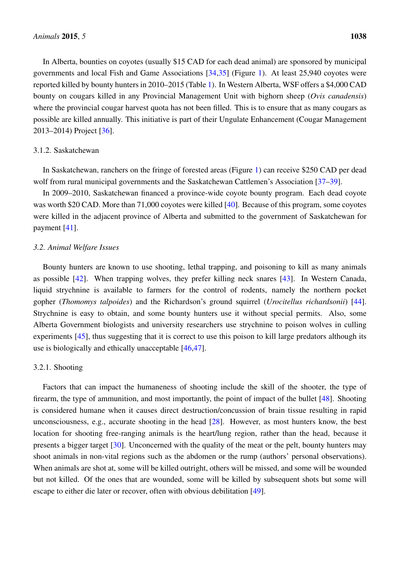In Alberta, bounties on coyotes (usually \$15 CAD for each dead animal) are sponsored by municipal governments and local Fish and Game Associations [\[34](#page-9-12)[,35\]](#page-9-13) (Figure [1\)](#page-3-0). At least 25,940 coyotes were reported killed by bounty hunters in 2010–2015 (Table [1\)](#page-3-1). In Western Alberta, WSF offers a \$4,000 CAD bounty on cougars killed in any Provincial Management Unit with bighorn sheep (*Ovis canadensis*) where the provincial cougar harvest quota has not been filled. This is to ensure that as many cougars as possible are killed annually. This initiative is part of their Ungulate Enhancement (Cougar Management 2013–2014) Project [\[36\]](#page-9-14).

#### 3.1.2. Saskatchewan

In Saskatchewan, ranchers on the fringe of forested areas (Figure [1\)](#page-3-0) can receive \$250 CAD per dead wolf from rural municipal governments and the Saskatchewan Cattlemen's Association [\[37](#page-9-15)[–39\]](#page-10-0).

In 2009–2010, Saskatchewan financed a province-wide coyote bounty program. Each dead coyote was worth \$20 CAD. More than 71,000 coyotes were killed [\[40\]](#page-10-1). Because of this program, some coyotes were killed in the adjacent province of Alberta and submitted to the government of Saskatchewan for payment [\[41\]](#page-10-2).

## *3.2. Animal Welfare Issues*

Bounty hunters are known to use shooting, lethal trapping, and poisoning to kill as many animals as possible [\[42\]](#page-10-3). When trapping wolves, they prefer killing neck snares [\[43\]](#page-10-4). In Western Canada, liquid strychnine is available to farmers for the control of rodents, namely the northern pocket gopher (*Thomomys talpoides*) and the Richardson's ground squirrel (*Urocitellus richardsonii*) [\[44\]](#page-10-5). Strychnine is easy to obtain, and some bounty hunters use it without special permits. Also, some Alberta Government biologists and university researchers use strychnine to poison wolves in culling experiments [\[45\]](#page-10-6), thus suggesting that it is correct to use this poison to kill large predators although its use is biologically and ethically unacceptable [\[46](#page-10-7)[,47\]](#page-10-8).

## 3.2.1. Shooting

Factors that can impact the humaneness of shooting include the skill of the shooter, the type of firearm, the type of ammunition, and most importantly, the point of impact of the bullet [\[48\]](#page-10-9). Shooting is considered humane when it causes direct destruction/concussion of brain tissue resulting in rapid unconsciousness, e.g., accurate shooting in the head [\[28\]](#page-9-6). However, as most hunters know, the best location for shooting free-ranging animals is the heart/lung region, rather than the head, because it presents a bigger target [\[30\]](#page-9-8). Unconcerned with the quality of the meat or the pelt, bounty hunters may shoot animals in non-vital regions such as the abdomen or the rump (authors' personal observations). When animals are shot at, some will be killed outright, others will be missed, and some will be wounded but not killed. Of the ones that are wounded, some will be killed by subsequent shots but some will escape to either die later or recover, often with obvious debilitation [\[49\]](#page-10-10).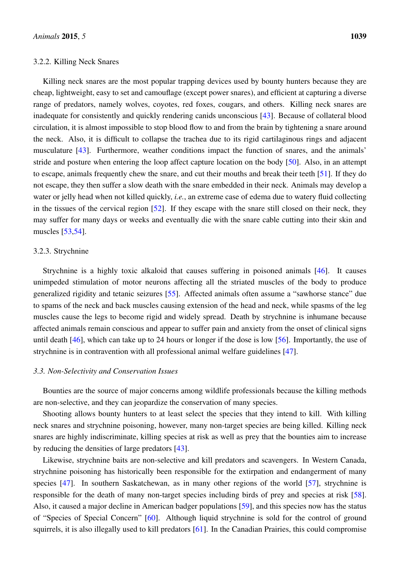Killing neck snares are the most popular trapping devices used by bounty hunters because they are cheap, lightweight, easy to set and camouflage (except power snares), and efficient at capturing a diverse range of predators, namely wolves, coyotes, red foxes, cougars, and others. Killing neck snares are inadequate for consistently and quickly rendering canids unconscious [\[43\]](#page-10-4). Because of collateral blood circulation, it is almost impossible to stop blood flow to and from the brain by tightening a snare around the neck. Also, it is difficult to collapse the trachea due to its rigid cartilaginous rings and adjacent musculature [\[43\]](#page-10-4). Furthermore, weather conditions impact the function of snares, and the animals' stride and posture when entering the loop affect capture location on the body [\[50\]](#page-10-11). Also, in an attempt to escape, animals frequently chew the snare, and cut their mouths and break their teeth [\[51\]](#page-10-12). If they do not escape, they then suffer a slow death with the snare embedded in their neck. Animals may develop a water or jelly head when not killed quickly, *i.e.*, an extreme case of edema due to watery fluid collecting in the tissues of the cervical region [\[52\]](#page-10-13). If they escape with the snare still closed on their neck, they may suffer for many days or weeks and eventually die with the snare cable cutting into their skin and muscles [\[53](#page-10-14)[,54\]](#page-11-0).

## 3.2.3. Strychnine

Strychnine is a highly toxic alkaloid that causes suffering in poisoned animals [\[46\]](#page-10-7). It causes unimpeded stimulation of motor neurons affecting all the striated muscles of the body to produce generalized rigidity and tetanic seizures [\[55\]](#page-11-1). Affected animals often assume a "sawhorse stance" due to spams of the neck and back muscles causing extension of the head and neck, while spasms of the leg muscles cause the legs to become rigid and widely spread. Death by strychnine is inhumane because affected animals remain conscious and appear to suffer pain and anxiety from the onset of clinical signs until death [\[46\]](#page-10-7), which can take up to 24 hours or longer if the dose is low [\[56\]](#page-11-2). Importantly, the use of strychnine is in contravention with all professional animal welfare guidelines [\[47\]](#page-10-8).

#### *3.3. Non-Selectivity and Conservation Issues*

Bounties are the source of major concerns among wildlife professionals because the killing methods are non-selective, and they can jeopardize the conservation of many species.

Shooting allows bounty hunters to at least select the species that they intend to kill. With killing neck snares and strychnine poisoning, however, many non-target species are being killed. Killing neck snares are highly indiscriminate, killing species at risk as well as prey that the bounties aim to increase by reducing the densities of large predators [\[43\]](#page-10-4).

Likewise, strychnine baits are non-selective and kill predators and scavengers. In Western Canada, strychnine poisoning has historically been responsible for the extirpation and endangerment of many species [\[47\]](#page-10-8). In southern Saskatchewan, as in many other regions of the world [\[57\]](#page-11-3), strychnine is responsible for the death of many non-target species including birds of prey and species at risk [\[58\]](#page-11-4). Also, it caused a major decline in American badger populations [\[59\]](#page-11-5), and this species now has the status of "Species of Special Concern" [\[60\]](#page-11-6). Although liquid strychnine is sold for the control of ground squirrels, it is also illegally used to kill predators [\[61\]](#page-11-7). In the Canadian Prairies, this could compromise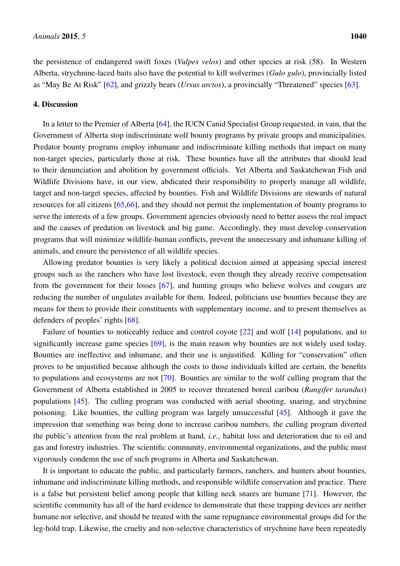the persistence of endangered swift foxes (*Vulpes velox*) and other species at risk (58). In Western Alberta, strychnine-laced baits also have the potential to kill wolverines (*Gulo gulo*), provincially listed as "May Be At Risk" [\[62\]](#page-11-8), and grizzly bears (*Ursus arctos*), a provincially "Threatened" species [\[63\]](#page-11-9).

## 4. Discussion

In a letter to the Premier of Alberta [\[64\]](#page-11-10), the IUCN Canid Specialist Group requested, in vain, that the Government of Alberta stop indiscriminate wolf bounty programs by private groups and municipalities. Predator bounty programs employ inhumane and indiscriminate killing methods that impact on many non-target species, particularly those at risk. These bounties have all the attributes that should lead to their denunciation and abolition by government officials. Yet Alberta and Saskatchewan Fish and Wildlife Divisions have, in our view, abdicated their responsibility to properly manage all wildlife, target and non-target species, affected by bounties. Fish and Wildlife Divisions are stewards of natural resources for all citizens [\[65,](#page-11-11)[66\]](#page-11-12), and they should not permit the implementation of bounty programs to serve the interests of a few groups. Government agencies obviously need to better assess the real impact and the causes of predation on livestock and big game. Accordingly, they must develop conservation programs that will minimize wildlife-human conflicts, prevent the unnecessary and inhumane killing of animals, and ensure the persistence of all wildlife species.

Allowing predator bounties is very likely a political decision aimed at appeasing special interest groups such as the ranchers who have lost livestock, even though they already receive compensation from the government for their losses [\[67\]](#page-11-13), and hunting groups who believe wolves and cougars are reducing the number of ungulates available for them. Indeed, politicians use bounties because they are means for them to provide their constituents with supplementary income, and to present themselves as defenders of peoples' rights [\[68\]](#page-11-14).

Failure of bounties to noticeably reduce and control coyote [\[22\]](#page-9-0) and wolf [\[14\]](#page-8-12) populations, and to significantly increase game species [\[69\]](#page-11-15), is the main reason why bounties are not widely used today. Bounties are ineffective and inhumane, and their use is unjustified. Killing for "conservation" often proves to be unjustified because although the costs to those individuals killed are certain, the benefits to populations and ecosystems are not [\[70\]](#page-12-0). Bounties are similar to the wolf culling program that the Government of Alberta established in 2005 to recover threatened boreal caribou (*Rangifer tarandus*) populations [\[45\]](#page-10-6). The culling program was conducted with aerial shooting, snaring, and strychnine poisoning. Like bounties, the culling program was largely unsuccessful [\[45\]](#page-10-6). Although it gave the impression that something was being done to increase caribou numbers, the culling program diverted the public's attention from the real problem at hand, *i.e.*, habitat loss and deterioration due to oil and gas and forestry industries. The scientific community, environmental organizations, and the public must vigorously condemn the use of such programs in Alberta and Saskatchewan.

It is important to educate the public, and particularly farmers, ranchers, and hunters about bounties, inhumane and indiscriminate killing methods, and responsible wildlife conservation and practice. There is a false but persistent belief among people that killing neck snares are humane [\[71\]](#page-12-1). However, the scientific community has all of the hard evidence to demonstrate that these trapping devices are neither humane nor selective, and should be treated with the same repugnance environmental groups did for the leg-hold trap. Likewise, the cruelty and non-selective characteristics of strychnine have been repeatedly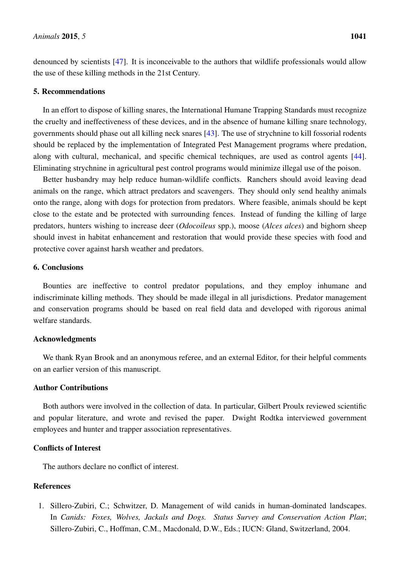denounced by scientists [\[47\]](#page-10-8). It is inconceivable to the authors that wildlife professionals would allow the use of these killing methods in the 21st Century.

## 5. Recommendations

In an effort to dispose of killing snares, the International Humane Trapping Standards must recognize the cruelty and ineffectiveness of these devices, and in the absence of humane killing snare technology, governments should phase out all killing neck snares [\[43\]](#page-10-4). The use of strychnine to kill fossorial rodents should be replaced by the implementation of Integrated Pest Management programs where predation, along with cultural, mechanical, and specific chemical techniques, are used as control agents [\[44\]](#page-10-5). Eliminating strychnine in agricultural pest control programs would minimize illegal use of the poison.

Better husbandry may help reduce human-wildlife conflicts. Ranchers should avoid leaving dead animals on the range, which attract predators and scavengers. They should only send healthy animals onto the range, along with dogs for protection from predators. Where feasible, animals should be kept close to the estate and be protected with surrounding fences. Instead of funding the killing of large predators, hunters wishing to increase deer (*Odocoileus* spp.), moose (*Alces alces*) and bighorn sheep should invest in habitat enhancement and restoration that would provide these species with food and protective cover against harsh weather and predators.

#### 6. Conclusions

Bounties are ineffective to control predator populations, and they employ inhumane and indiscriminate killing methods. They should be made illegal in all jurisdictions. Predator management and conservation programs should be based on real field data and developed with rigorous animal welfare standards.

## Acknowledgments

We thank Ryan Brook and an anonymous referee, and an external Editor, for their helpful comments on an earlier version of this manuscript.

# Author Contributions

Both authors were involved in the collection of data. In particular, Gilbert Proulx reviewed scientific and popular literature, and wrote and revised the paper. Dwight Rodtka interviewed government employees and hunter and trapper association representatives.

# Conflicts of Interest

The authors declare no conflict of interest.

# References

<span id="page-7-0"></span>1. Sillero-Zubiri, C.; Schwitzer, D. Management of wild canids in human-dominated landscapes. In *Canids: Foxes, Wolves, Jackals and Dogs. Status Survey and Conservation Action Plan*; Sillero-Zubiri, C., Hoffman, C.M., Macdonald, D.W., Eds.; IUCN: Gland, Switzerland, 2004.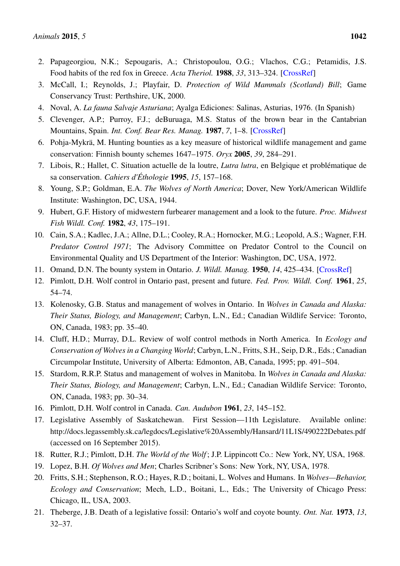- <span id="page-8-0"></span>2. Papageorgiou, N.K.; Sepougaris, A.; Christopoulou, O.G.; Vlachos, C.G.; Petamidis, J.S. Food habits of the red fox in Greece. *Acta Theriol.* 1988, *33*, 313–324. [\[CrossRef\]](http://dx.doi.org/10.4098/AT.arch.88-25)
- <span id="page-8-1"></span>3. McCall, I.; Reynolds, J.; Playfair, D. *Protection of Wild Mammals (Scotland) Bill*; Game Conservancy Trust: Perthshire, UK, 2000.
- <span id="page-8-2"></span>4. Noval, A. *La fauna Salvaje Asturiana*; Ayalga Ediciones: Salinas, Asturias, 1976. (In Spanish)
- <span id="page-8-3"></span>5. Clevenger, A.P.; Purroy, F.J.; deBuruaga, M.S. Status of the brown bear in the Cantabrian Mountains, Spain. *Int. Conf. Bear Res. Manag.* 1987, *7*, 1–8. [\[CrossRef\]](http://dx.doi.org/10.2307/3872599)
- <span id="page-8-4"></span>6. Pohja-Mykrä, M. Hunting bounties as a key measure of historical wildlife management and game conservation: Finnish bounty schemes 1647–1975. *Oryx* 2005, *39*, 284–291.
- <span id="page-8-5"></span>7. Libois, R.; Hallet, C. Situation actuelle de la loutre, *Lutra lutra*, en Belgique et problématique de sa conservation. *Cahiers d'Éthologie* 1995, *15*, 157–168.
- <span id="page-8-6"></span>8. Young, S.P.; Goldman, E.A. *The Wolves of North America*; Dover, New York/American Wildlife Institute: Washington, DC, USA, 1944.
- <span id="page-8-7"></span>9. Hubert, G.F. History of midwestern furbearer management and a look to the future. *Proc. Midwest Fish Wildl. Conf.* 1982, *43*, 175–191.
- <span id="page-8-8"></span>10. Cain, S.A.; Kadlec, J.A.; Allne, D.L.; Cooley, R.A.; Hornocker, M.G.; Leopold, A.S.; Wagner, F.H. *Predator Control 1971*; The Advisory Committee on Predator Control to the Council on Environmental Quality and US Department of the Interior: Washington, DC, USA, 1972.
- <span id="page-8-9"></span>11. Omand, D.N. The bounty system in Ontario. *J. Wildl. Manag.* 1950, *14*, 425–434. [\[CrossRef\]](http://dx.doi.org/10.2307/3797272)
- <span id="page-8-10"></span>12. Pimlott, D.H. Wolf control in Ontario past, present and future. *Fed. Prov. Wildl. Conf.* 1961, *25*, 54–74.
- <span id="page-8-11"></span>13. Kolenosky, G.B. Status and management of wolves in Ontario. In *Wolves in Canada and Alaska: Their Status, Biology, and Management*; Carbyn, L.N., Ed.; Canadian Wildlife Service: Toronto, ON, Canada, 1983; pp. 35–40.
- <span id="page-8-12"></span>14. Cluff, H.D.; Murray, D.L. Review of wolf control methods in North America. In *Ecology and Conservation of Wolves in a Changing World*; Carbyn, L.N., Fritts, S.H., Seip, D.R., Eds.; Canadian Circumpolar Institute, University of Alberta: Edmonton, AB, Canada, 1995; pp. 491–504.
- <span id="page-8-13"></span>15. Stardom, R.R.P. Status and management of wolves in Manitoba. In *Wolves in Canada and Alaska: Their Status, Biology, and Management*; Carbyn, L.N., Ed.; Canadian Wildlife Service: Toronto, ON, Canada, 1983; pp. 30–34.
- <span id="page-8-14"></span>16. Pimlott, D.H. Wolf control in Canada. *Can. Audubon* 1961, *23*, 145–152.
- <span id="page-8-15"></span>17. Legislative Assembly of Saskatchewan. First Session—11th Legislature. Available online: http://docs.legassembly.sk.ca/legdocs/Legislative%20Assembly/Hansard/11L1S/490222Debates.pdf (accessed on 16 September 2015).
- <span id="page-8-16"></span>18. Rutter, R.J.; Pimlott, D.H. *The World of the Wolf* ; J.P. Lippincott Co.: New York, NY, USA, 1968.
- <span id="page-8-17"></span>19. Lopez, B.H. *Of Wolves and Men*; Charles Scribner's Sons: New York, NY, USA, 1978.
- <span id="page-8-18"></span>20. Fritts, S.H.; Stephenson, R.O.; Hayes, R.D.; boitani, L. Wolves and Humans. In *Wolves—Behavior, Ecology and Conservation*; Mech, L.D., Boitani, L., Eds.; The University of Chicago Press: Chicago, IL, USA, 2003.
- <span id="page-8-19"></span>21. Theberge, J.B. Death of a legislative fossil: Ontario's wolf and coyote bounty. *Ont. Nat.* 1973, *13*, 32–37.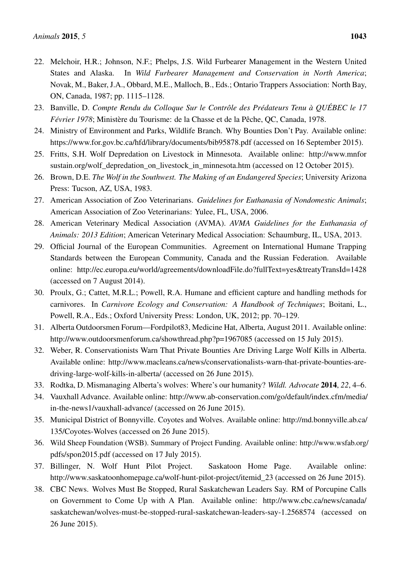- <span id="page-9-0"></span>22. Melchoir, H.R.; Johnson, N.F.; Phelps, J.S. Wild Furbearer Management in the Western United States and Alaska. In *Wild Furbearer Management and Conservation in North America*; Novak, M., Baker, J.A., Obbard, M.E., Malloch, B., Eds.; Ontario Trappers Association: North Bay, ON, Canada, 1987; pp. 1115–1128.
- <span id="page-9-1"></span>23. Banville, D. *Compte Rendu du Colloque Sur le Contrôle des Prédateurs Tenu à QUÉBEC le 17 Février 1978*; Ministère du Tourisme: de la Chasse et de la Pêche, QC, Canada, 1978.
- <span id="page-9-2"></span>24. Ministry of Environment and Parks, Wildlife Branch. Why Bounties Don't Pay. Available online: https://www.for.gov.bc.ca/hfd/library/documents/bib95878.pdf (accessed on 16 September 2015).
- <span id="page-9-3"></span>25. Fritts, S.H. Wolf Depredation on Livestock in Minnesota. Available online: http://www.mnfor sustain.org/wolf\_depredation\_on\_livestock\_in\_minnesota.htm (accessed on 12 October 2015).
- <span id="page-9-4"></span>26. Brown, D.E. *The Wolf in the Southwest. The Making of an Endangered Species*; University Arizona Press: Tucson, AZ, USA, 1983.
- <span id="page-9-5"></span>27. American Association of Zoo Veterinarians. *Guidelines for Euthanasia of Nondomestic Animals*; American Association of Zoo Veterinarians: Yulee, FL, USA, 2006.
- <span id="page-9-6"></span>28. American Veterinary Medical Association (AVMA). *AVMA Guidelines for the Euthanasia of Animals: 2013 Edition*; American Veterinary Medical Association: Schaumburg, IL, USA, 2013.
- <span id="page-9-7"></span>29. Official Journal of the European Communities. Agreement on International Humane Trapping Standards between the European Community, Canada and the Russian Federation. Available online: http://ec.europa.eu/world/agreements/downloadFile.do?fullText=yes&treatyTransId=1428 (accessed on 7 August 2014).
- <span id="page-9-8"></span>30. Proulx, G.; Cattet, M.R.L.; Powell, R.A. Humane and efficient capture and handling methods for carnivores. In *Carnivore Ecology and Conservation: A Handbook of Techniques*; Boitani, L., Powell, R.A., Eds.; Oxford University Press: London, UK, 2012; pp. 70–129.
- <span id="page-9-9"></span>31. Alberta Outdoorsmen Forum—Fordpilot83, Medicine Hat, Alberta, August 2011. Available online: http://www.outdoorsmenforum.ca/showthread.php?p=1967085 (accessed on 15 July 2015).
- <span id="page-9-10"></span>32. Weber, R. Conservationists Warn That Private Bounties Are Driving Large Wolf Kills in Alberta. Available online: http://www.macleans.ca/news/conservationalists-warn-that-private-bounties-aredriving-large-wolf-kills-in-alberta/ (accessed on 26 June 2015).
- <span id="page-9-11"></span>33. Rodtka, D. Mismanaging Alberta's wolves: Where's our humanity? *Wildl. Advocate* 2014, *22*, 4–6.
- <span id="page-9-12"></span>34. Vauxhall Advance. Available online: http://www.ab-conservation.com/go/default/index.cfm/media/ in-the-news1/vauxhall-advance/ (accessed on 26 June 2015).
- <span id="page-9-13"></span>35. Municipal District of Bonnyville. Coyotes and Wolves. Available online: http://md.bonnyville.ab.ca/ 135/Coyotes-Wolves (accessed on 26 June 2015).
- <span id="page-9-14"></span>36. Wild Sheep Foundation (WSB). Summary of Project Funding. Available online: http://www.wsfab.org/ pdfs/spon2015.pdf (accessed on 17 July 2015).
- <span id="page-9-15"></span>37. Billinger, N. Wolf Hunt Pilot Project. Saskatoon Home Page. Available online: http://www.saskatoonhomepage.ca/wolf-hunt-pilot-project/itemid\_23 (accessed on 26 June 2015).
- 38. CBC News. Wolves Must Be Stopped, Rural Saskatchewan Leaders Say. RM of Porcupine Calls on Government to Come Up with A Plan. Available online: http://www.cbc.ca/news/canada/ saskatchewan/wolves-must-be-stopped-rural-saskatchewan-leaders-say-1.2568574 (accessed on 26 June 2015).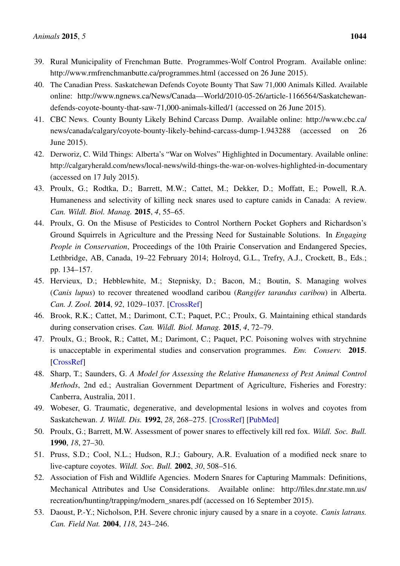- <span id="page-10-0"></span>39. Rural Municipality of Frenchman Butte. Programmes-Wolf Control Program. Available online: http://www.rmfrenchmanbutte.ca/programmes.html (accessed on 26 June 2015).
- <span id="page-10-1"></span>40. The Canadian Press. Saskatchewan Defends Coyote Bounty That Saw 71,000 Animals Killed. Available online: http://www.ngnews.ca/News/Canada—World/2010-05-26/article-1166564/Saskatchewandefends-coyote-bounty-that-saw-71,000-animals-killed/1 (accessed on 26 June 2015).
- <span id="page-10-2"></span>41. CBC News. County Bounty Likely Behind Carcass Dump. Available online: http://www.cbc.ca/ news/canada/calgary/coyote-bounty-likely-behind-carcass-dump-1.943288 (accessed on 26 June 2015).
- <span id="page-10-3"></span>42. Derworiz, C. Wild Things: Alberta's "War on Wolves" Highlighted in Documentary. Available online: http://calgaryherald.com/news/local-news/wild-things-the-war-on-wolves-highlighted-in-documentary (accessed on 17 July 2015).
- <span id="page-10-4"></span>43. Proulx, G.; Rodtka, D.; Barrett, M.W.; Cattet, M.; Dekker, D.; Moffatt, E.; Powell, R.A. Humaneness and selectivity of killing neck snares used to capture canids in Canada: A review. *Can. Wildl. Biol. Manag.* 2015, *4*, 55–65.
- <span id="page-10-5"></span>44. Proulx, G. On the Misuse of Pesticides to Control Northern Pocket Gophers and Richardson's Ground Squirrels in Agriculture and the Pressing Need for Sustainable Solutions. In *Engaging People in Conservation*, Proceedings of the 10th Prairie Conservation and Endangered Species, Lethbridge, AB, Canada, 19–22 February 2014; Holroyd, G.L., Trefry, A.J., Crockett, B., Eds.; pp. 134–157.
- <span id="page-10-6"></span>45. Hervieux, D.; Hebblewhite, M.; Stepnisky, D.; Bacon, M.; Boutin, S. Managing wolves (*Canis lupus*) to recover threatened woodland caribou (*Rangifer tarandus caribou*) in Alberta. *Can. J. Zool.* 2014, *92*, 1029–1037. [\[CrossRef\]](http://dx.doi.org/10.1139/cjz-2014-0142)
- <span id="page-10-7"></span>46. Brook, R.K.; Cattet, M.; Darimont, C.T.; Paquet, P.C.; Proulx, G. Maintaining ethical standards during conservation crises. *Can. Wildl. Biol. Manag.* 2015, *4*, 72–79.
- <span id="page-10-8"></span>47. Proulx, G.; Brook, R.; Cattet, M.; Darimont, C.; Paquet, P.C. Poisoning wolves with strychnine is unacceptable in experimental studies and conservation programmes. *Env. Conserv.* 2015. [\[CrossRef\]](http://dx.doi.org/10.1017/S0376892915000211)
- <span id="page-10-9"></span>48. Sharp, T.; Saunders, G. *A Model for Assessing the Relative Humaneness of Pest Animal Control Methods*, 2nd ed.; Australian Government Department of Agriculture, Fisheries and Forestry: Canberra, Australia, 2011.
- <span id="page-10-10"></span>49. Wobeser, G. Traumatic, degenerative, and developmental lesions in wolves and coyotes from Saskatchewan. *J. Wildl. Dis.* 1992, *28*, 268–275. [\[CrossRef\]](http://dx.doi.org/10.7589/0090-3558-28.2.268) [\[PubMed\]](http://www.ncbi.nlm.nih.gov/pubmed/1602579)
- <span id="page-10-11"></span>50. Proulx, G.; Barrett, M.W. Assessment of power snares to effectively kill red fox. *Wildl. Soc. Bull.* 1990, *18*, 27–30.
- <span id="page-10-12"></span>51. Pruss, S.D.; Cool, N.L.; Hudson, R.J.; Gaboury, A.R. Evaluation of a modified neck snare to live-capture coyotes. *Wildl. Soc. Bull.* 2002, *30*, 508–516.
- <span id="page-10-13"></span>52. Association of Fish and Wildlife Agencies. Modern Snares for Capturing Mammals: Definitions, Mechanical Attributes and Use Considerations. Available online: http://files.dnr.state.mn.us/ recreation/hunting/trapping/modern\_snares.pdf (accessed on 16 September 2015).
- <span id="page-10-14"></span>53. Daoust, P.-Y.; Nicholson, P.H. Severe chronic injury caused by a snare in a coyote. *Canis latrans. Can. Field Nat.* 2004, *118*, 243–246.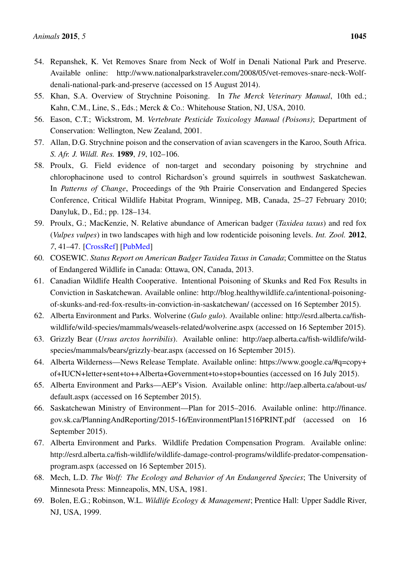- <span id="page-11-0"></span>54. Repanshek, K. Vet Removes Snare from Neck of Wolf in Denali National Park and Preserve. Available online: http://www.nationalparkstraveler.com/2008/05/vet-removes-snare-neck-Wolfdenali-national-park-and-preserve (accessed on 15 August 2014).
- <span id="page-11-1"></span>55. Khan, S.A. Overview of Strychnine Poisoning. In *The Merck Veterinary Manual*, 10th ed.; Kahn, C.M., Line, S., Eds.; Merck & Co.: Whitehouse Station, NJ, USA, 2010.
- <span id="page-11-2"></span>56. Eason, C.T.; Wickstrom, M. *Vertebrate Pesticide Toxicology Manual (Poisons)*; Department of Conservation: Wellington, New Zealand, 2001.
- <span id="page-11-3"></span>57. Allan, D.G. Strychnine poison and the conservation of avian scavengers in the Karoo, South Africa. *S. Afr. J. Wildl. Res.* 1989, *19*, 102–106.
- <span id="page-11-4"></span>58. Proulx, G. Field evidence of non-target and secondary poisoning by strychnine and chlorophacinone used to control Richardson's ground squirrels in southwest Saskatchewan. In *Patterns of Change*, Proceedings of the 9th Prairie Conservation and Endangered Species Conference, Critical Wildlife Habitat Program, Winnipeg, MB, Canada, 25–27 February 2010; Danyluk, D., Ed.; pp. 128–134.
- <span id="page-11-5"></span>59. Proulx, G.; MacKenzie, N. Relative abundance of American badger (*Taxidea taxus*) and red fox (*Vulpes vulpes*) in two landscapes with high and low rodenticide poisoning levels. *Int. Zool.* 2012, *7*, 41–47. [\[CrossRef\]](http://dx.doi.org/10.1111/j.1749-4877.2011.00276.x) [\[PubMed\]](http://www.ncbi.nlm.nih.gov/pubmed/22405447)
- <span id="page-11-6"></span>60. COSEWIC. *Status Report on American Badger Taxidea Taxus in Canada*; Committee on the Status of Endangered Wildlife in Canada: Ottawa, ON, Canada, 2013.
- <span id="page-11-7"></span>61. Canadian Wildlife Health Cooperative. Intentional Poisoning of Skunks and Red Fox Results in Conviction in Saskatchewan. Available online: http://blog.healthywildlife.ca/intentional-poisoningof-skunks-and-red-fox-results-in-conviction-in-saskatchewan/ (accessed on 16 September 2015).
- <span id="page-11-8"></span>62. Alberta Environment and Parks. Wolverine (*Gulo gulo*). Available online: http://esrd.alberta.ca/fishwildlife/wild-species/mammals/weasels-related/wolverine.aspx (accessed on 16 September 2015).
- <span id="page-11-9"></span>63. Grizzly Bear (*Ursus arctos horribilis*). Available online: http://aep.alberta.ca/fish-wildlife/wildspecies/mammals/bears/grizzly-bear.aspx (accessed on 16 September 2015).
- <span id="page-11-10"></span>64. Alberta Wilderness—News Release Template. Available online: https://www.google.ca/#q=copy+ of+IUCN+letter+sent+to++Alberta+Government+to+stop+bounties (accessed on 16 July 2015).
- <span id="page-11-11"></span>65. Alberta Environment and Parks—AEP's Vision. Available online: http://aep.alberta.ca/about-us/ default.aspx (accessed on 16 September 2015).
- <span id="page-11-12"></span>66. Saskatchewan Ministry of Environment—Plan for 2015–2016. Available online: http://finance. gov.sk.ca/PlanningAndReporting/2015-16/EnvironmentPlan1516PRINT.pdf (accessed on 16 September 2015).
- <span id="page-11-13"></span>67. Alberta Environment and Parks. Wildlife Predation Compensation Program. Available online: http://esrd.alberta.ca/fish-wildlife/wildlife-damage-control-programs/wildlife-predator-compensationprogram.aspx (accessed on 16 September 2015).
- <span id="page-11-14"></span>68. Mech, L.D. *The Wolf: The Ecology and Behavior of An Endangered Species*; The University of Minnesota Press: Minneapolis, MN, USA, 1981.
- <span id="page-11-15"></span>69. Bolen, E.G.; Robinson, W.L. *Wildlife Ecology & Management*; Prentice Hall: Upper Saddle River, NJ, USA, 1999.